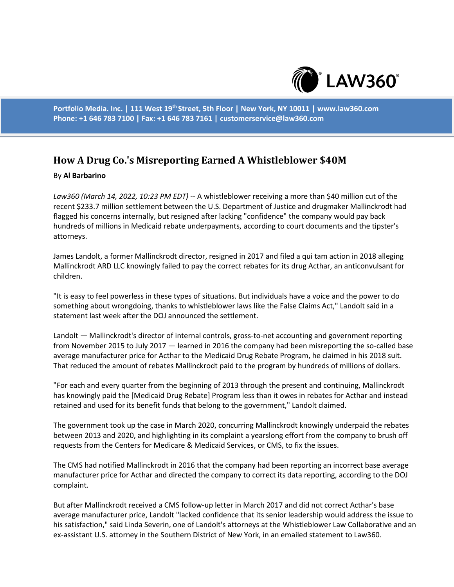

**Portfolio Media. Inc. | 111 West 19th Street, 5th Floor | New York, NY 10011 | www.law360.com Phone: +1 646 783 7100 | Fax: +1 646 783 7161 | customerservice@law360.com**

## **How A Drug Co.'s Misreporting Earned A Whistleblower \$40M**

## By **Al Barbarino**

*Law360 (March 14, 2022, 10:23 PM EDT)* -- A whistleblower receiving a more than \$40 million cut of the recent \$233.7 million settlement between the U.S. Department of Justice and drugmaker Mallinckrodt had flagged his concerns internally, but resigned after lacking "confidence" the company would pay back hundreds of millions in Medicaid rebate underpayments, according to court documents and the tipster's attorneys.

James Landolt, a former Mallinckrodt director, resigned in 2017 and filed a qui tam action in 2018 alleging Mallinckrodt ARD LLC knowingly failed to pay the correct rebates for its drug Acthar, an anticonvulsant for children.

"It is easy to feel powerless in these types of situations. But individuals have a voice and the power to do something about wrongdoing, thanks to whistleblower laws like the False Claims Act," Landolt said in a statement last week after the DOJ announced the settlement.

Landolt — Mallinckrodt's director of internal controls, gross-to-net accounting and government reporting from November 2015 to July 2017 — learned in 2016 the company had been misreporting the so-called base average manufacturer price for Acthar to the Medicaid Drug Rebate Program, he claimed in his 2018 suit. That reduced the amount of rebates Mallinckrodt paid to the program by hundreds of millions of dollars.

"For each and every quarter from the beginning of 2013 through the present and continuing, Mallinckrodt has knowingly paid the [Medicaid Drug Rebate] Program less than it owes in rebates for Acthar and instead retained and used for its benefit funds that belong to the government," Landolt claimed.

The government took up the case in March 2020, concurring Mallinckrodt knowingly underpaid the rebates between 2013 and 2020, and highlighting in its complaint a yearslong effort from the company to brush off requests from the Centers for Medicare & Medicaid Services, or CMS, to fix the issues.

The CMS had notified Mallinckrodt in 2016 that the company had been reporting an incorrect base average manufacturer price for Acthar and directed the company to correct its data reporting, according to the DOJ complaint.

But after Mallinckrodt received a CMS follow-up letter in March 2017 and did not correct Acthar's base average manufacturer price, Landolt "lacked confidence that its senior leadership would address the issue to his satisfaction," said Linda Severin, one of Landolt's attorneys at the Whistleblower Law Collaborative and an ex-assistant U.S. attorney in the Southern District of New York, in an emailed statement to Law360.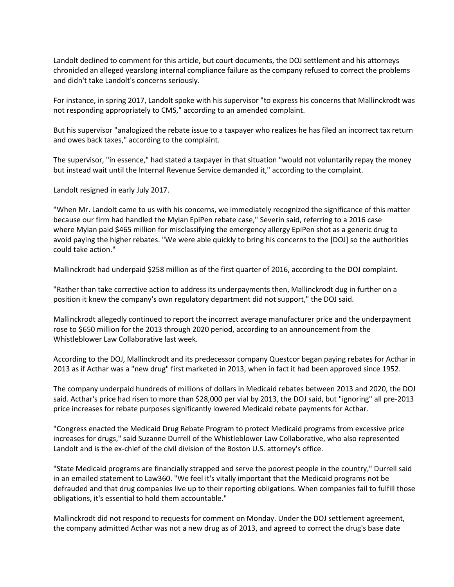Landolt declined to comment for this article, but court documents, the DOJ settlement and his attorneys chronicled an alleged yearslong internal compliance failure as the company refused to correct the problems and didn't take Landolt's concerns seriously.

For instance, in spring 2017, Landolt spoke with his supervisor "to express his concerns that Mallinckrodt was not responding appropriately to CMS," according to an amended complaint.

But his supervisor "analogized the rebate issue to a taxpayer who realizes he has filed an incorrect tax return and owes back taxes," according to the complaint.

The supervisor, "in essence," had stated a taxpayer in that situation "would not voluntarily repay the money but instead wait until the Internal Revenue Service demanded it," according to the complaint.

Landolt resigned in early July 2017.

"When Mr. Landolt came to us with his concerns, we immediately recognized the significance of this matter because our firm had handled the Mylan EpiPen rebate case," Severin said, referring to a 2016 case where Mylan paid \$465 million for misclassifying the emergency allergy EpiPen shot as a generic drug to avoid paying the higher rebates. "We were able quickly to bring his concerns to the [DOJ] so the authorities could take action."

Mallinckrodt had underpaid \$258 million as of the first quarter of 2016, according to the DOJ complaint.

"Rather than take corrective action to address its underpayments then, Mallinckrodt dug in further on a position it knew the company's own regulatory department did not support," the DOJ said.

Mallinckrodt allegedly continued to report the incorrect average manufacturer price and the underpayment rose to \$650 million for the 2013 through 2020 period, according to an announcement from the Whistleblower Law Collaborative last week.

According to the DOJ, Mallinckrodt and its predecessor company Questcor began paying rebates for Acthar in 2013 as if Acthar was a "new drug" first marketed in 2013, when in fact it had been approved since 1952.

The company underpaid hundreds of millions of dollars in Medicaid rebates between 2013 and 2020, the DOJ said. Acthar's price had risen to more than \$28,000 per vial by 2013, the DOJ said, but "ignoring" all pre-2013 price increases for rebate purposes significantly lowered Medicaid rebate payments for Acthar.

"Congress enacted the Medicaid Drug Rebate Program to protect Medicaid programs from excessive price increases for drugs," said Suzanne Durrell of the Whistleblower Law Collaborative, who also represented Landolt and is the ex-chief of the civil division of the Boston U.S. attorney's office.

"State Medicaid programs are financially strapped and serve the poorest people in the country," Durrell said in an emailed statement to Law360. "We feel it's vitally important that the Medicaid programs not be defrauded and that drug companies live up to their reporting obligations. When companies fail to fulfill those obligations, it's essential to hold them accountable."

Mallinckrodt did not respond to requests for comment on Monday. Under the DOJ settlement agreement, the company admitted Acthar was not a new drug as of 2013, and agreed to correct the drug's base date